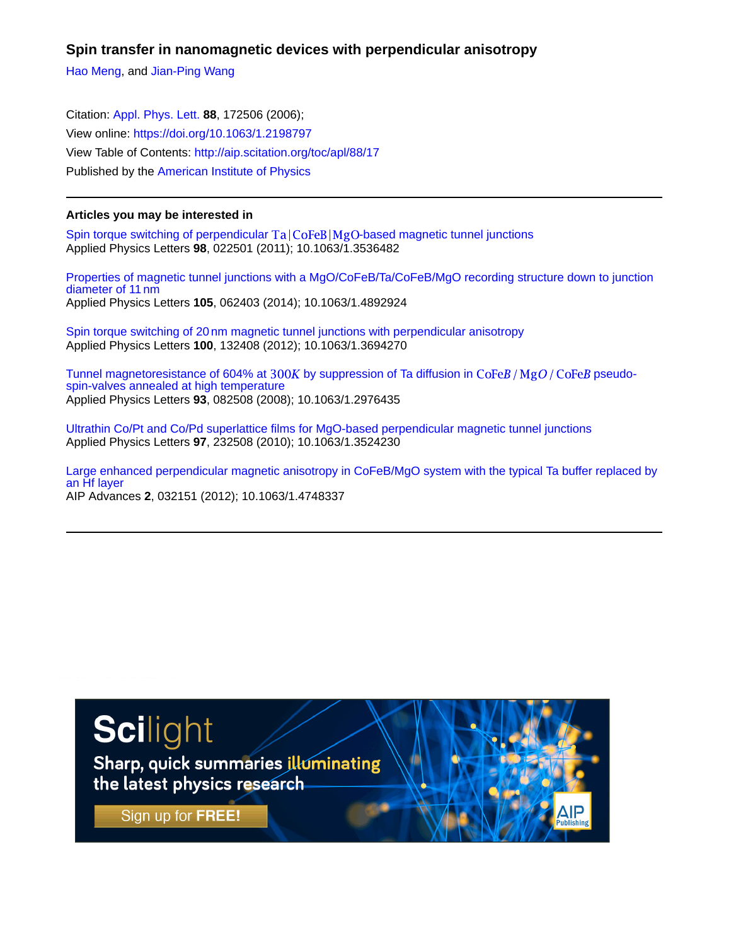**Spin transfer in nanomagnetic devices with perpendicular anisotropy**

[Hao Meng,](http://aip.scitation.org/author/Meng%2C+Hao) and [Jian-Ping Wang](http://aip.scitation.org/author/Wang%2C+Jian-Ping)

Citation: [Appl. Phys. Lett.](/loi/apl) **88**, 172506 (2006); View online: <https://doi.org/10.1063/1.2198797> View Table of Contents: <http://aip.scitation.org/toc/apl/88/17> Published by the [American Institute of Physics](http://aip.scitation.org/publisher/)

## **Articles you may be interested in**

Spin torque switching of perpendicular  $Ta|CoFeB|MgO$ -based magnetic tunnel junctions Applied Physics Letters **98**, 022501 (2011); 10.1063/1.3536482

[Properties of magnetic tunnel junctions with a MgO/CoFeB/Ta/CoFeB/MgO recording structure down to junction](http://aip.scitation.org/doi/abs/10.1063/1.4892924) diameter of 11 nm Applied Physics Letters **105**, 062403 (2014); 10.1063/1.4892924

[Spin torque switching of 20nm magnetic tunnel junctions with perpendicular anisotropy](http://aip.scitation.org/doi/abs/10.1063/1.3694270) Applied Physics Letters **100**, 132408 (2012); 10.1063/1.3694270

Tunnel magnetoresistance of 604% at 300K by suppression of Ta diffusion in  $\text{CoFe}B/\text{Mg}O/\text{CoFe}B$  pseudo[spin-valves annealed at high temperature](http://aip.scitation.org/doi/abs/10.1063/1.2976435) Applied Physics Letters **93**, 082508 (2008); 10.1063/1.2976435

[Ultrathin Co/Pt and Co/Pd superlattice films for MgO-based perpendicular magnetic tunnel junctions](http://aip.scitation.org/doi/abs/10.1063/1.3524230) Applied Physics Letters **97**, 232508 (2010); 10.1063/1.3524230

[Large enhanced perpendicular magnetic anisotropy in CoFeB/MgO system with the typical Ta buffer replaced by](http://aip.scitation.org/doi/abs/10.1063/1.4748337) [an Hf layer](http://aip.scitation.org/doi/abs/10.1063/1.4748337) AIP Advances **2**, 032151 (2012); 10.1063/1.4748337

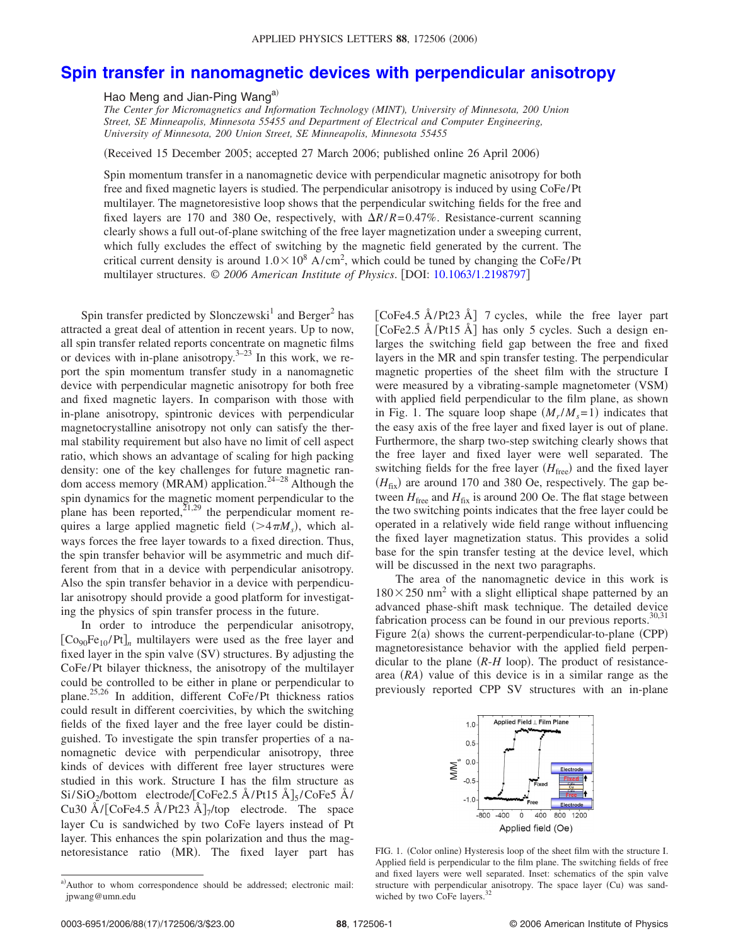## **[Spin transfer in nanomagnetic devices with perpendicular anisotropy](http://dx.doi.org/10.1063/1.2198797)**

Hao Meng and Jian-Ping Wang<sup>a)</sup>

*The Center for Micromagnetics and Information Technology (MINT), University of Minnesota, 200 Union Street, SE Minneapolis, Minnesota 55455 and Department of Electrical and Computer Engineering, University of Minnesota, 200 Union Street, SE Minneapolis, Minnesota 55455*

(Received 15 December 2005; accepted 27 March 2006; published online 26 April 2006)

Spin momentum transfer in a nanomagnetic device with perpendicular magnetic anisotropy for both free and fixed magnetic layers is studied. The perpendicular anisotropy is induced by using CoFe/Pt multilayer. The magnetoresistive loop shows that the perpendicular switching fields for the free and fixed layers are 170 and 380 Oe, respectively, with  $\Delta R/R = 0.47\%$ . Resistance-current scanning clearly shows a full out-of-plane switching of the free layer magnetization under a sweeping current, which fully excludes the effect of switching by the magnetic field generated by the current. The critical current density is around  $1.0 \times 10^8$  A/cm<sup>2</sup>, which could be tuned by changing the CoFe/Pt multilayer structures. © 2006 American Institute of Physics. [DOI: [10.1063/1.2198797](http://dx.doi.org/10.1063/1.2198797)]

Spin transfer predicted by Slonczewski<sup>1</sup> and Berger<sup>2</sup> has attracted a great deal of attention in recent years. Up to now, all spin transfer related reports concentrate on magnetic films or devices with in-plane anisotropy.  $3-23$  In this work, we report the spin momentum transfer study in a nanomagnetic device with perpendicular magnetic anisotropy for both free and fixed magnetic layers. In comparison with those with in-plane anisotropy, spintronic devices with perpendicular magnetocrystalline anisotropy not only can satisfy the thermal stability requirement but also have no limit of cell aspect ratio, which shows an advantage of scaling for high packing density: one of the key challenges for future magnetic random access memory (MRAM) application.<sup>24-28</sup> Although the spin dynamics for the magnetic moment perpendicular to the plane has been reported, $^{21,29}$  the perpendicular moment requires a large applied magnetic field  $(>4\pi M_s)$ , which always forces the free layer towards to a fixed direction. Thus, the spin transfer behavior will be asymmetric and much different from that in a device with perpendicular anisotropy. Also the spin transfer behavior in a device with perpendicular anisotropy should provide a good platform for investigating the physics of spin transfer process in the future.

In order to introduce the perpendicular anisotropy,  $[Co<sub>90</sub>Fe<sub>10</sub>/Pt]$ <sub>n</sub> multilayers were used as the free layer and fixed layer in the spin valve (SV) structures. By adjusting the CoFe/Pt bilayer thickness, the anisotropy of the multilayer could be controlled to be either in plane or perpendicular to plane.25,26 In addition, different CoFe/Pt thickness ratios could result in different coercivities, by which the switching fields of the fixed layer and the free layer could be distinguished. To investigate the spin transfer properties of a nanomagnetic device with perpendicular anisotropy, three kinds of devices with different free layer structures were studied in this work. Structure I has the film structure as  $Si/SiO<sub>2</sub>/bottom$  electrode/[CoFe2.5 Å/Pt15 Å]<sub>5</sub>/CoFe5 Å/ Cu30 Å/ $[CoFe4.5 \text{ Å}/Pt23 \text{ Å}]$ <sub>7</sub>/top electrode. The space layer Cu is sandwiched by two CoFe layers instead of Pt layer. This enhances the spin polarization and thus the magnetoresistance ratio (MR). The fixed layer part has

[CoFe4.5 Å/Pt23 Å] 7 cycles, while the free layer part [CoFe2.5 Å/Pt15 Å] has only 5 cycles. Such a design enlarges the switching field gap between the free and fixed layers in the MR and spin transfer testing. The perpendicular magnetic properties of the sheet film with the structure I were measured by a vibrating-sample magnetometer (VSM) with applied field perpendicular to the film plane, as shown in Fig. 1. The square loop shape  $(M_r/M_s=1)$  indicates that the easy axis of the free layer and fixed layer is out of plane. Furthermore, the sharp two-step switching clearly shows that the free layer and fixed layer were well separated. The switching fields for the free layer  $(H_{\text{free}})$  and the fixed layer  $(H_{fix})$  are around 170 and 380 Oe, respectively. The gap between  $H_{\text{free}}$  and  $H_{\text{fix}}$  is around 200 Oe. The flat stage between the two switching points indicates that the free layer could be operated in a relatively wide field range without influencing the fixed layer magnetization status. This provides a solid base for the spin transfer testing at the device level, which will be discussed in the next two paragraphs.

The area of the nanomagnetic device in this work is  $180 \times 250$  nm<sup>2</sup> with a slight elliptical shape patterned by an advanced phase-shift mask technique. The detailed device fabrication process can be found in our previous reports. $30,31$ Figure  $2(a)$  shows the current-perpendicular-to-plane (CPP) magnetoresistance behavior with the applied field perpendicular to the plane  $(R-H \text{ loop})$ . The product of resistancearea (RA) value of this device is in a similar range as the previously reported CPP SV structures with an in-plane



FIG. 1. (Color online) Hysteresis loop of the sheet film with the structure I. Applied field is perpendicular to the film plane. The switching fields of free and fixed layers were well separated. Inset: schematics of the spin valve structure with perpendicular anisotropy. The space layer (Cu) was sandwiched by two CoFe layers.<sup>3</sup>

a)Author to whom correspondence should be addressed; electronic mail: jpwang@umn.edu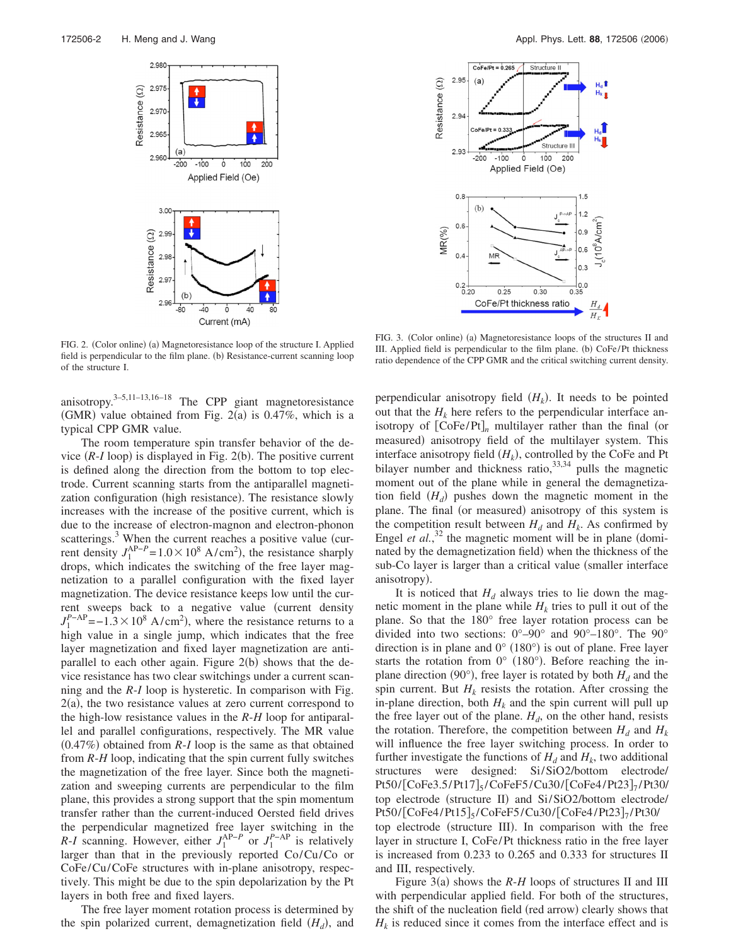

FIG. 2. (Color online) (a) Magnetoresistance loop of the structure I. Applied field is perpendicular to the film plane. (b) Resistance-current scanning loop of the structure I.

anisotropy.3–5,11–13,16–18 The CPP giant magnetoresistance (GMR) value obtained from Fig.  $2(a)$  is 0.47%, which is a typical CPP GMR value.

The room temperature spin transfer behavior of the device  $(R-I \text{ loop})$  is displayed in Fig. 2(b). The positive current is defined along the direction from the bottom to top electrode. Current scanning starts from the antiparallel magnetization configuration (high resistance). The resistance slowly increases with the increase of the positive current, which is due to the increase of electron-magnon and electron-phonon scatterings. $3$  When the current reaches a positive value (current density  $J_1^{\text{AP}-P}$  = 1.0 × 10<sup>8</sup> A/cm<sup>2</sup>), the resistance sharply drops, which indicates the switching of the free layer magnetization to a parallel configuration with the fixed layer magnetization. The device resistance keeps low until the current sweeps back to a negative value (current density  $J_1^{P-AP}$ =−1.3 × 10<sup>8</sup> A/cm<sup>2</sup>), where the resistance returns to a high value in a single jump, which indicates that the free layer magnetization and fixed layer magnetization are antiparallel to each other again. Figure 2(b) shows that the device resistance has two clear switchings under a current scanning and the *R*-*I* loop is hysteretic. In comparison with Fig.  $2(a)$ , the two resistance values at zero current correspond to the high-low resistance values in the *R*-*H* loop for antiparallel and parallel configurations, respectively. The MR value  $(0.47%)$  obtained from  $R-I$  loop is the same as that obtained from *R*-*H* loop, indicating that the spin current fully switches the magnetization of the free layer. Since both the magnetization and sweeping currents are perpendicular to the film plane, this provides a strong support that the spin momentum transfer rather than the current-induced Oersted field drives the perpendicular magnetized free layer switching in the *R*-*I* scanning. However, either  $J_1^{\text{AP}-P}$  or  $J_1^{P-\text{AP}}$  is relatively larger than that in the previously reported Co/Cu/Co or CoFe/Cu/CoFe structures with in-plane anisotropy, respectively. This might be due to the spin depolarization by the Pt layers in both free and fixed layers.

The free layer moment rotation process is determined by the spin polarized current, demagnetization field  $(H_d)$ , and



FIG. 3. (Color online) (a) Magnetoresistance loops of the structures II and III. Applied field is perpendicular to the film plane. (b) CoFe/Pt thickness ratio dependence of the CPP GMR and the critical switching current density.

perpendicular anisotropy field  $(H_k)$ . It needs to be pointed out that the  $H_k$  here refers to the perpendicular interface anisotropy of  $[CoFe/Pt]_n$  multilayer rather than the final (or measured) anisotropy field of the multilayer system. This interface anisotropy field  $(H_k)$ , controlled by the CoFe and Pt bilayer number and thickness ratio,  $33,34$  pulls the magnetic moment out of the plane while in general the demagnetization field  $(H_d)$  pushes down the magnetic moment in the plane. The final (or measured) anisotropy of this system is the competition result between  $H_d$  and  $H_k$ . As confirmed by Engel *et al.*,<sup>32</sup> the magnetic moment will be in plane (dominated by the demagnetization field) when the thickness of the sub-Co layer is larger than a critical value (smaller interface anisotropy).

It is noticed that  $H_d$  always tries to lie down the magnetic moment in the plane while  $H_k$  tries to pull it out of the plane. So that the 180° free layer rotation process can be divided into two sections:  $0^{\circ}-90^{\circ}$  and  $90^{\circ}-180^{\circ}$ . The  $90^{\circ}$ direction is in plane and  $0^{\circ}$  (180 $^{\circ}$ ) is out of plane. Free layer starts the rotation from  $0^{\circ}$  (180°). Before reaching the inplane direction (90 $^{\circ}$ ), free layer is rotated by both  $H_d$  and the spin current. But  $H_k$  resists the rotation. After crossing the in-plane direction, both  $H_k$  and the spin current will pull up the free layer out of the plane.  $H_d$ , on the other hand, resists the rotation. Therefore, the competition between  $H_d$  and  $H_k$ will influence the free layer switching process. In order to further investigate the functions of  $H_d$  and  $H_k$ , two additional structures were designed: Si/SiO2/bottom electrode/  $Pt50/[CoFe3.5/Pt17]$ <sub>5</sub>/CoFeF5/Cu30/[CoFe4/Pt23]<sub>7</sub>/Pt30/ top electrode (structure II) and Si/SiO2/bottom electrode/  $Pt50/[CoFe4/Pt15]_{5}/CoFeF5/Cu30/[CoFe4/Pt23]_{7}/Pt30/$ top electrode (structure III). In comparison with the free layer in structure I, CoFe/Pt thickness ratio in the free layer is increased from 0.233 to 0.265 and 0.333 for structures II and III, respectively.

Figure  $3(a)$  shows the  $R$ - $H$  loops of structures II and III with perpendicular applied field. For both of the structures, the shift of the nucleation field (red arrow) clearly shows that  $H_k$  is reduced since it comes from the interface effect and is